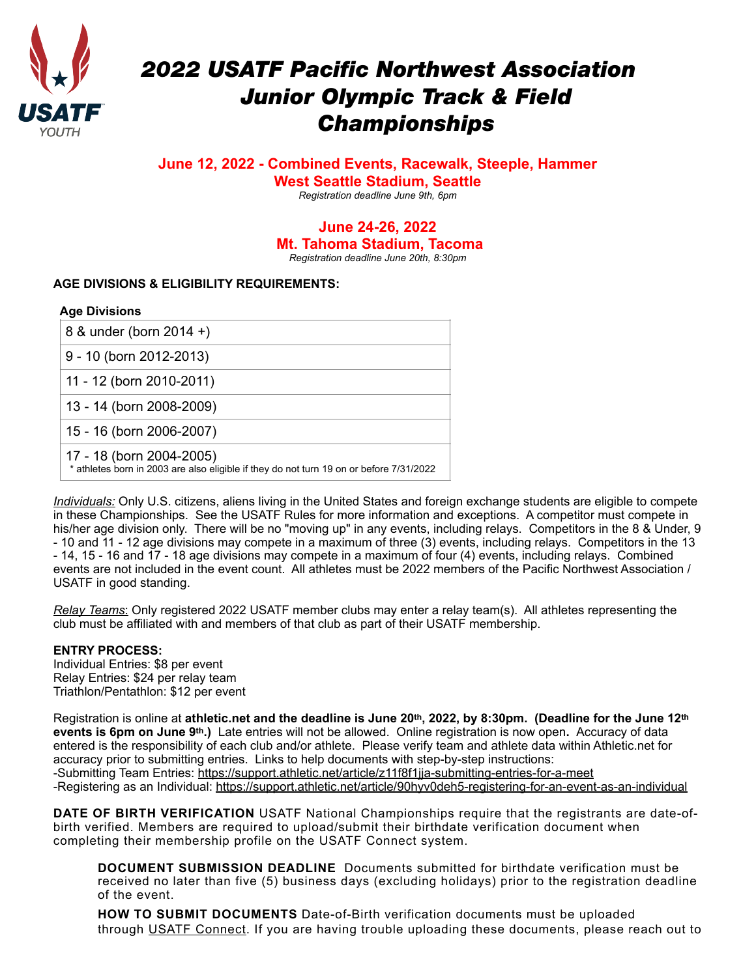

# *2022 USATF Pacific Northwest Association Junior Olympic Track & Field Championships*

# **June 12, 2022 - Combined Events, Racewalk, Steeple, Hammer West Seattle Stadium, Seattle**

*Registration deadline June 9th, 6pm* 

#### **June 24-26, 2022 Mt. Tahoma Stadium, Tacoma**  *Registration deadline June 20th, 8:30pm*

# **AGE DIVISIONS & ELIGIBILITY REQUIREMENTS:**

## **Age Divisions**

| 8 & under (born 2014 +)                                                                                             |
|---------------------------------------------------------------------------------------------------------------------|
| $9 - 10$ (born 2012-2013)                                                                                           |
| 11 - 12 (born 2010-2011)                                                                                            |
| 13 - 14 (born 2008-2009)                                                                                            |
| 15 - 16 (born 2006-2007)                                                                                            |
| 17 - 18 (born 2004-2005)<br>* athletes born in 2003 are also eligible if they do not turn 19 on or before 7/31/2022 |

*Individuals:* Only U.S. citizens, aliens living in the United States and foreign exchange students are eligible to compete in these Championships. See the USATF Rules for more information and exceptions. A competitor must compete in his/her age division only. There will be no "moving up" in any events, including relays. Competitors in the 8 & Under, 9 - 10 and 11 - 12 age divisions may compete in a maximum of three (3) events, including relays. Competitors in the 13 - 14, 15 - 16 and 17 - 18 age divisions may compete in a maximum of four (4) events, including relays. Combined events are not included in the event count. All athletes must be 2022 members of the Pacific Northwest Association / USATF in good standing.

*Relay Teams*: Only registered 2022 USATF member clubs may enter a relay team(s). All athletes representing the club must be affiliated with and members of that club as part of their USATF membership.

## **ENTRY PROCESS:**

Individual Entries: \$8 per event Relay Entries: \$24 per relay team Triathlon/Pentathlon: \$12 per event

Registration is online at **athletic.net and the deadline is June 20th, 2022, by 8:30pm. (Deadline for the June 12th events is 6pm on June 9th.)** Late entries will not be allowed.Online registration is now open**.** Accuracy of data entered is the responsibility of each club and/or athlete. Please verify team and athlete data within Athletic.net for accuracy prior to submitting entries. Links to help documents with step-by-step instructions: -Submitting Team Entries:<https://support.athletic.net/article/z11f8f1jja-submitting-entries-for-a-meet> -Registering as an Individual: <https://support.athletic.net/article/90hyv0deh5-registering-for-an-event-as-an-individual>

**DATE OF BIRTH VERIFICATION** USATF National Championships require that the registrants are date-ofbirth verified. Members are required to upload/submit their birthdate verification document when completing their membership profile on the USATF Connect system.

**DOCUMENT SUBMISSION DEADLINE** Documents submitted for birthdate verification must be received no later than five (5) business days (excluding holidays) prior to the registration deadline of the event.

**HOW TO SUBMIT DOCUMENTS** Date-of-Birth verification documents must be uploaded through [USATF Connect](https://usatf.sport80.com/). If you are having trouble uploading these documents, please reach out to